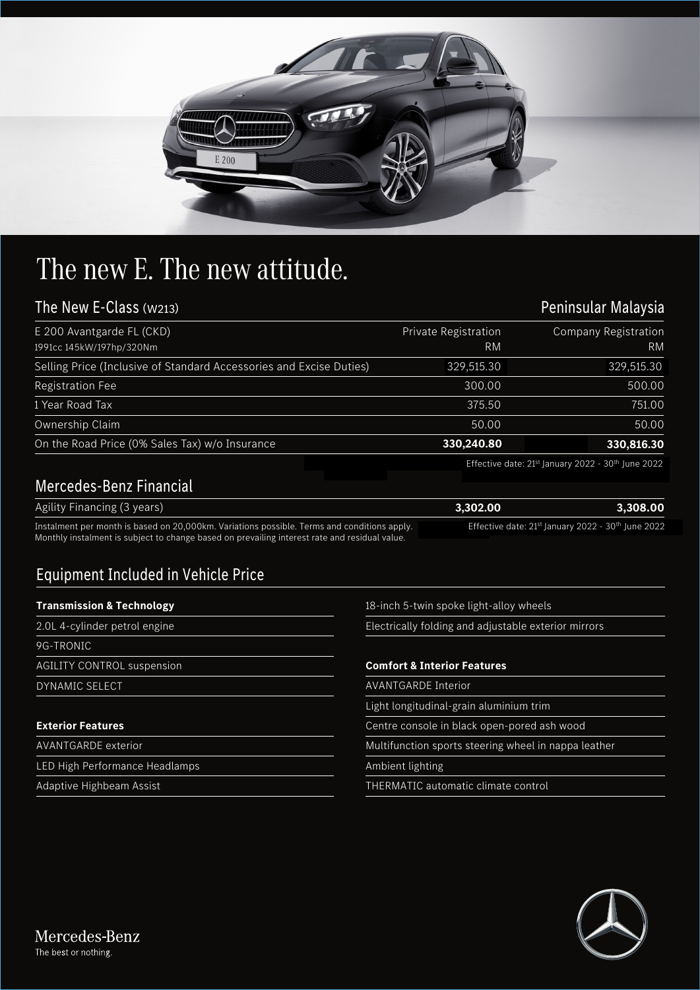

## The new E. The new attitude.

## The New E-Class (W213)

| The New E-Class (w213)                                              | Peninsular Malaysia  |                             |
|---------------------------------------------------------------------|----------------------|-----------------------------|
| E 200 Avantgarde FL (CKD)                                           | Private Registration | <b>Company Registration</b> |
| 1991cc 145kW/197hp/320Nm                                            | RM                   | <b>RM</b>                   |
| Selling Price (Inclusive of Standard Accessories and Excise Duties) | 329,515.30           | 329,515.30                  |
| <b>Registration Fee</b>                                             | 300.00               | 500.00                      |
| 1 Year Road Tax                                                     | 375.50               | 751.00                      |
| Ownership Claim                                                     | 50.00                | 50.00                       |
| On the Road Price (0% Sales Tax) w/o Insurance                      | 330,240.80           | 330,816.30                  |

Effective date: 21<sup>st</sup> January 2022 - 30<sup>th</sup> June 2022

## Mercedes-Benz Financial

| Agility Financing (3 years)                                                                   | 3.302.00                                                                   | 3,308,00 |
|-----------------------------------------------------------------------------------------------|----------------------------------------------------------------------------|----------|
| Instalment per month is based on 20,000km. Variations possible. Terms and conditions apply.   | Effective date: 21 <sup>st</sup> January 2022 - 30 <sup>th</sup> June 2022 |          |
| Monthly instalment is subject to change based on prevailing interest rate and residual value. |                                                                            |          |

## Equipment Included in Vehicle Price

| <b>Transmission &amp; Technology</b> | 18-inch 5-twin spoke light-alloy wheels              |  |
|--------------------------------------|------------------------------------------------------|--|
| 2.0L 4-cylinder petrol engine        | Electrically folding and adjustable exterior mirrors |  |
| 9G-TRONIC                            |                                                      |  |
| <b>AGILITY CONTROL suspension</b>    | <b>Comfort &amp; Interior Features</b>               |  |
| <b>DYNAMIC SELECT</b>                | <b>AVANTGARDE Interior</b>                           |  |
|                                      | Light longitudinal-grain aluminium trim              |  |
| <b>Exterior Features</b>             | Centre console in black open-pored ash wood          |  |
| <b>AVANTGARDE</b> exterior           | Multifunction sports steering wheel in nappa leather |  |
| LED High Performance Headlamps       | Ambient lighting                                     |  |
| Adaptive Highbeam Assist             | THERMATIC automatic climate control                  |  |